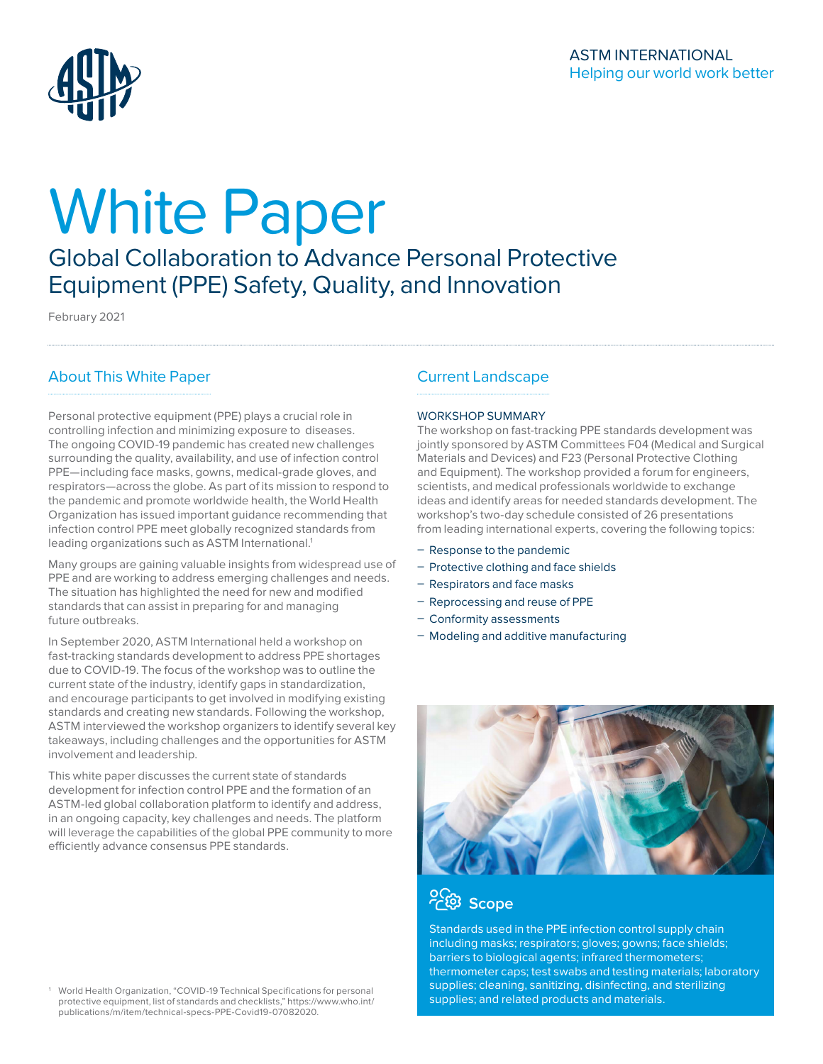

# White Paper

Global Collaboration to Advance Personal Protective Equipment (PPE) Safety, Quality, and Innovation

February 2021

# About This White Paper

Personal protective equipment (PPE) plays a crucial role in controlling infection and minimizing exposure to diseases. The ongoing COVID-19 pandemic has created new challenges surrounding the quality, availability, and use of infection control PPE—including face masks, gowns, medical-grade gloves, and respirators—across the globe. As part of its mission to respond to the pandemic and promote worldwide health, the World Health Organization has issued important guidance recommending that infection control PPE meet globally recognized standards from leading organizations such as ASTM International.<sup>1</sup>

Many groups are gaining valuable insights from widespread use of PPE and are working to address emerging challenges and needs. The situation has highlighted the need for new and modified standards that can assist in preparing for and managing future outbreaks.

In September 2020, ASTM International held a workshop on fast-tracking standards development to address PPE shortages due to COVID-19. The focus of the workshop was to outline the current state of the industry, identify gaps in standardization, and encourage participants to get involved in modifying existing standards and creating new standards. Following the workshop, ASTM interviewed the workshop organizers to identify several key takeaways, including challenges and the opportunities for ASTM involvement and leadership.

This white paper discusses the current state of standards development for infection control PPE and the formation of an ASTM-led global collaboration platform to identify and address, in an ongoing capacity, key challenges and needs. The platform will leverage the capabilities of the global PPE community to more efficiently advance consensus PPE standards.

1 World Health Organization, "COVID-19 Technical Specifications for personal protective equipment, list of standards and checklists," https://www.who.int/ publications/m/item/technical-specs-PPE-Covid19-07082020.

# Current Landscape

## WORKSHOP SUMMARY

The workshop on fast-tracking PPE standards development was jointly sponsored by ASTM Committees F04 (Medical and Surgical Materials and Devices) and F23 (Personal Protective Clothing and Equipment). The workshop provided a forum for engineers, scientists, and medical professionals worldwide to exchange ideas and identify areas for needed standards development. The workshop's two-day schedule consisted of 26 presentations from leading international experts, covering the following topics:

- Response to the pandemic
- Protective clothing and face shields
- Respirators and face masks
- Reprocessing and reuse of PPE
- Conformity assessments
- Modeling and additive manufacturing





Standards used in the PPE infection control supply chain including masks; respirators; gloves; gowns; face shields; barriers to biological agents; infrared thermometers; thermometer caps; test swabs and testing materials; laboratory supplies; cleaning, sanitizing, disinfecting, and sterilizing supplies; and related products and materials.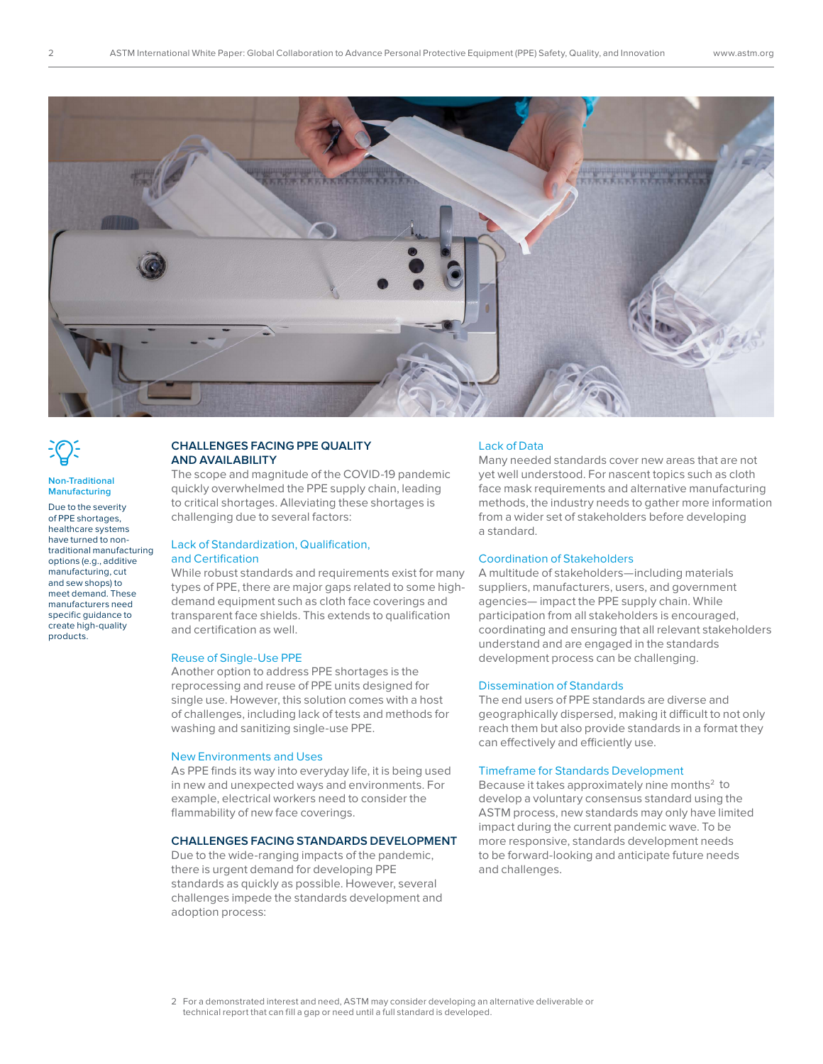

| v. |  |
|----|--|
|    |  |
|    |  |
|    |  |

#### **Non-Traditional Manufacturing**

Due to the severity of PPE shortages, healthcare systems have turned to nontraditional manufacturing options (e.g., additive manufacturing, cut and sew shops) to meet demand. These manufacturers need specific guidance to create high-quality products.

## **CHALLENGES FACING PPE QUALITY AND AVAILABILITY**

The scope and magnitude of the COVID-19 pandemic quickly overwhelmed the PPE supply chain, leading to critical shortages. Alleviating these shortages is challenging due to several factors:

## Lack of Standardization, Qualification, and Certification

While robust standards and requirements exist for many types of PPE, there are major gaps related to some highdemand equipment such as cloth face coverings and transparent face shields. This extends to qualification and certification as well.

## Reuse of Single-Use PPE

Another option to address PPE shortages is the reprocessing and reuse of PPE units designed for single use. However, this solution comes with a host of challenges, including lack of tests and methods for washing and sanitizing single-use PPE.

## New Environments and Uses

As PPE finds its way into everyday life, it is being used in new and unexpected ways and environments. For example, electrical workers need to consider the flammability of new face coverings.

## **CHALLENGES FACING STANDARDS DEVELOPMENT**

Due to the wide-ranging impacts of the pandemic, there is urgent demand for developing PPE standards as quickly as possible. However, several challenges impede the standards development and adoption process:

## Lack of Data

Many needed standards cover new areas that are not yet well understood. For nascent topics such as cloth face mask requirements and alternative manufacturing methods, the industry needs to gather more information from a wider set of stakeholders before developing a standard.

## Coordination of Stakeholders

A multitude of stakeholders—including materials suppliers, manufacturers, users, and government agencies— impact the PPE supply chain. While participation from all stakeholders is encouraged, coordinating and ensuring that all relevant stakeholders understand and are engaged in the standards development process can be challenging.

## Dissemination of Standards

The end users of PPE standards are diverse and geographically dispersed, making it difficult to not only reach them but also provide standards in a format they can effectively and efficiently use.

## Timeframe for Standards Development

Because it takes approximately nine months<sup>2</sup> to develop a voluntary consensus standard using the ASTM process, new standards may only have limited impact during the current pandemic wave. To be more responsive, standards development needs to be forward-looking and anticipate future needs and challenges.

<sup>2</sup> For a demonstrated interest and need, ASTM may consider developing an alternative deliverable or technical report that can fill a gap or need until a full standard is developed.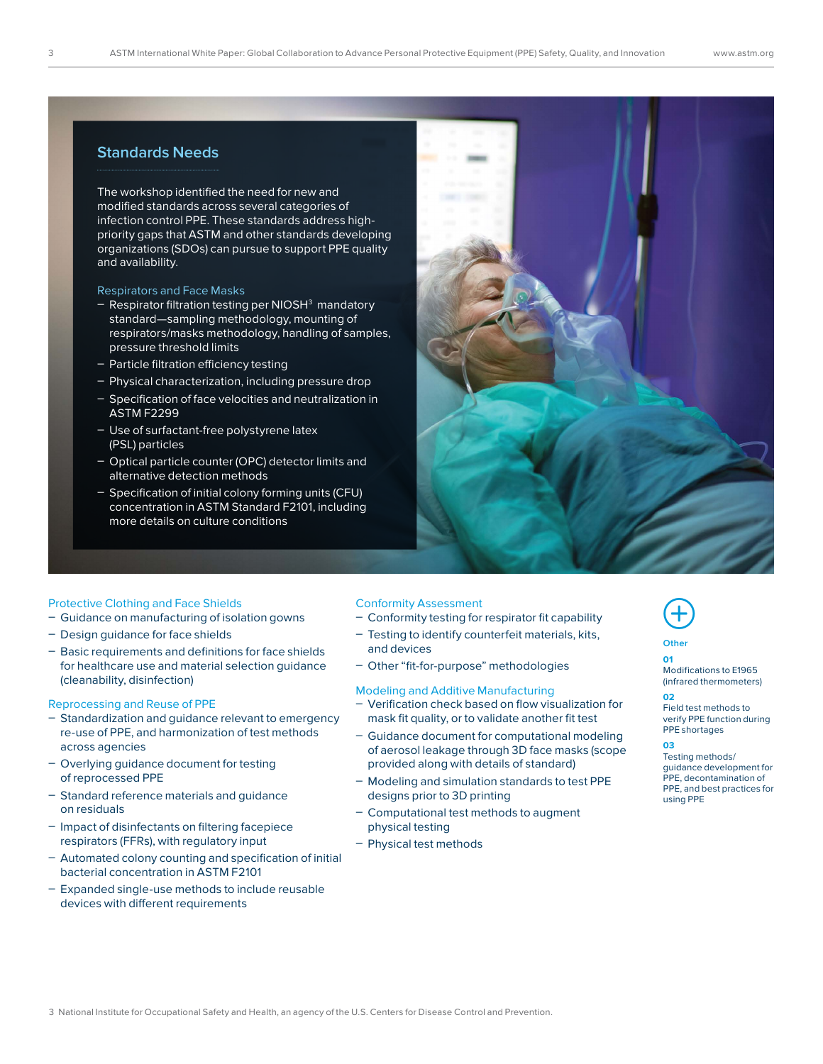# **Standards Needs**

The workshop identified the need for new and modified standards across several categories of infection control PPE. These standards address highpriority gaps that ASTM and other standards developing organizations (SDOs) can pursue to support PPE quality and availability.

## Respirators and Face Masks

- Respirator filtration testing per NIOSH<sup>3</sup> mandatory standard—sampling methodology, mounting of respirators/masks methodology, handling of samples, pressure threshold limits
- Particle filtration efficiency testing
- Physical characterization, including pressure drop
- Specification of face velocities and neutralization in ASTM F2299
- Use of surfactant-free polystyrene latex (PSL) particles
- Optical particle counter (OPC) detector limits and alternative detection methods
- Specification of initial colony forming units (CFU) concentration in ASTM Standard F2101, including more details on culture conditions



## Protective Clothing and Face Shields

- Guidance on manufacturing of isolation gowns
- Design guidance for face shields
- Basic requirements and definitions for face shields for healthcare use and material selection guidance (cleanability, disinfection)

## Reprocessing and Reuse of PPE

- Standardization and guidance relevant to emergency re-use of PPE, and harmonization of test methods across agencies
- Overlying guidance document for testing of reprocessed PPE
- Standard reference materials and quidance on residuals
- Impact of disinfectants on filtering facepiece respirators (FFRs), with regulatory input
- Automated colony counting and specification of initial bacterial concentration in ASTM F2101
- $-$  Expanded single-use methods to include reusable devices with different requirements

## Conformity Assessment

- Conformity testing for respirator fit capability
- Testing to identify counterfeit materials, kits, and devices
- Other "fit-for-purpose" methodologies

## Modeling and Additive Manufacturing

- Verification check based on flow visualization for mask fit quality, or to validate another fit test
- Guidance document for computational modeling of aerosol leakage through 3D face masks (scope provided along with details of standard)
- $-$  Modeling and simulation standards to test PPE designs prior to 3D printing
- Computational test methods to augment physical testing
- Physical test methods



# **Other**

# **01** Modifications to E1965 (infrared thermometers)

**02**  Field test methods to verify PPE function during PPE shortages

## **03**

Testing methods/ guidance development for PPE, decontamination of PPE, and best practices for using PPE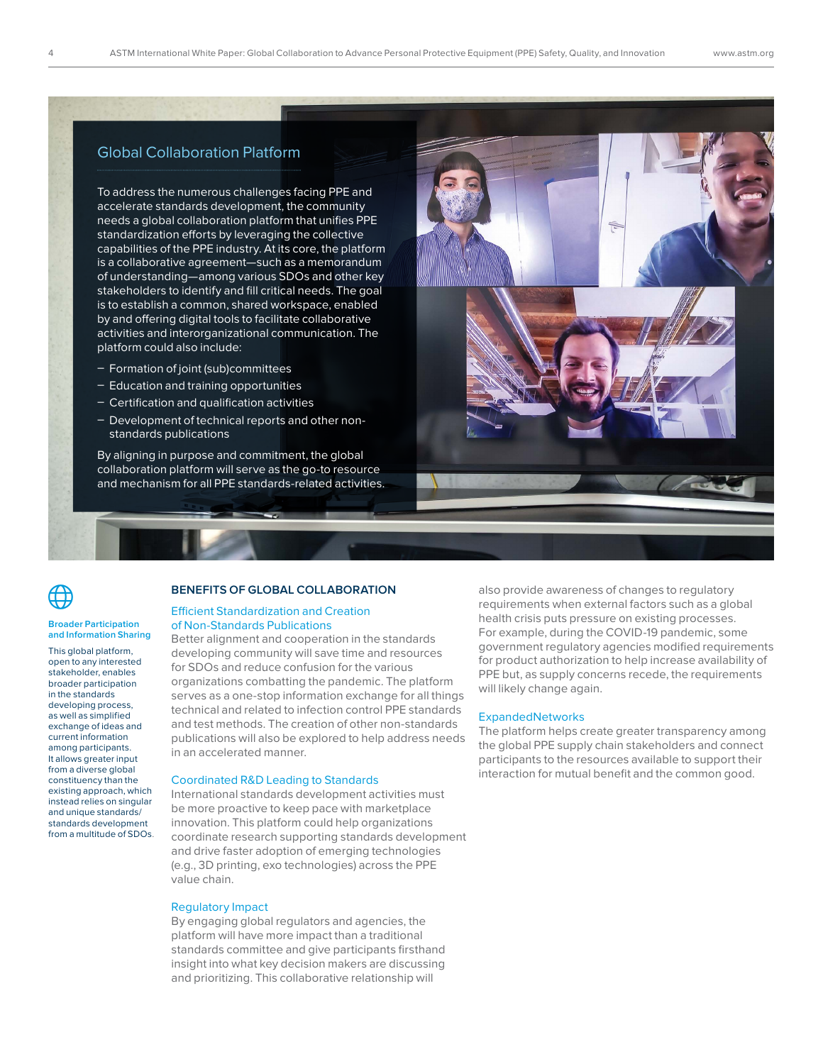# Global Collaboration Platform

To address the numerous challenges facing PPE and accelerate standards development, the community needs a global collaboration platform that unifies PPE standardization efforts by leveraging the collective capabilities of the PPE industry. At its core, the platform is a collaborative agreement—such as a memorandum of understanding—among various SDOs and other key stakeholders to identify and fill critical needs. The goal is to establish a common, shared workspace, enabled by and offering digital tools to facilitate collaborative activities and interorganizational communication. The platform could also include:

- Formation of joint (sub)committees
- $-$  Education and training opportunities
- Certification and qualification activities
- Development of technical reports and other nonstandards publications

By aligning in purpose and commitment, the global collaboration platform will serve as the go-to resource and mechanism for all PPE standards-related activities.



 $\bigoplus$ 

#### **Broader Participation and Information Sharing**

This global platform, open to any interested stakeholder, enables broader participation in the standards developing process, as well as simplified exchange of ideas and current information among participants. It allows greater input from a diverse global constituency than the existing approach, which instead relies on singular and unique standards/ standards development from a multitude of SDOs.

## **BENEFITS OF GLOBAL COLLABORATION**

## Efficient Standardization and Creation of Non-Standards Publications

Better alignment and cooperation in the standards developing community will save time and resources for SDOs and reduce confusion for the various organizations combatting the pandemic. The platform serves as a one-stop information exchange for all things technical and related to infection control PPE standards and test methods. The creation of other non-standards publications will also be explored to help address needs in an accelerated manner.

#### Coordinated R&D Leading to Standards

International standards development activities must be more proactive to keep pace with marketplace innovation. This platform could help organizations coordinate research supporting standards development and drive faster adoption of emerging technologies (e.g., 3D printing, exo technologies) across the PPE value chain.

## Regulatory Impact

By engaging global regulators and agencies, the platform will have more impact than a traditional standards committee and give participants firsthand insight into what key decision makers are discussing and prioritizing. This collaborative relationship will

also provide awareness of changes to regulatory requirements when external factors such as a global health crisis puts pressure on existing processes. For example, during the COVID-19 pandemic, some government regulatory agencies modified requirements for product authorization to help increase availability of PPE but, as supply concerns recede, the requirements will likely change again.

## ExpandedNetworks

The platform helps create greater transparency among the global PPE supply chain stakeholders and connect participants to the resources available to support their interaction for mutual benefit and the common good.